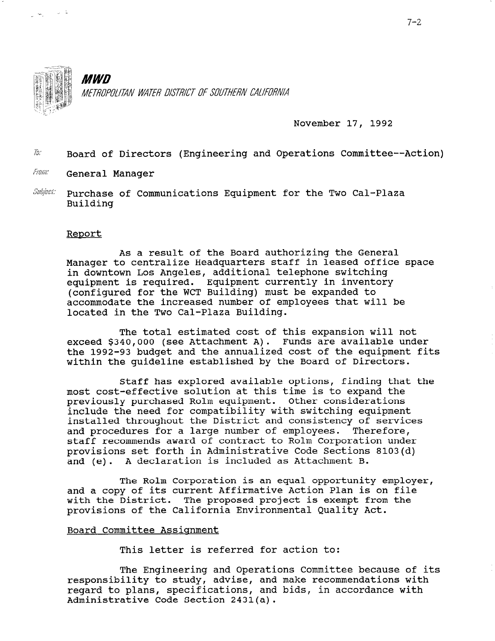

ع ۾ په

**MWD** METROPOLITAN WATER DISTRICT OF SOUTHERN CALIFORNIA

November 17, 1992

 $\bar{b}$ : Board of Directors (Engineering and Operations Committee--Action)

- From: General Manager
- $\textit{Subject:}$  Purchase of Communications Equipment for the Two Cal-Plaza Building

#### Renort

As a result of the Board authorizing the General Manager to centralize Headquarters staff in leased office space in downtown Los Angeles, additional telephone switching equipment is required. Equipment currently in inventory (configured for the WCT Building) must be expanded to accommodate the increased number of employees that will be located in the Two Cal-Plaza Building.

The total estimated cost of this expansion will not exceed \$340,000 (see Attachment A). Funds are available under the 1992-93 budget and the annualized cost of the equipment fits within the guideline established by the Board of Directors.

Staff has explored available options, finding that the most cost-effective solution at this time is to expand the previously purchased Rolm equipment. Other considerations include the need for compatibility with switching equipment installed throughout the District and consistency of services and procedures for a large number of employees. Therefore, staff recommends award of contract to Rolm Corporation under provisions set forth in Administrative Code Sections 8103(d) and (e). A declaration is included as Attachment B.

The Rolm Corporation is an equal opportunity employer, and a copy of its current Affirmative Action Plan is on file with the District. The proposed project is exempt from the provisions of the California Environmental Quality Act.

#### Board Committee Assignment

This letter is referred for action to:

The Engineering and Operations Committee because of its re Engineering and Operations Committee because of responsibility to study, advise, and make recommendations with regard to pians, specifications, a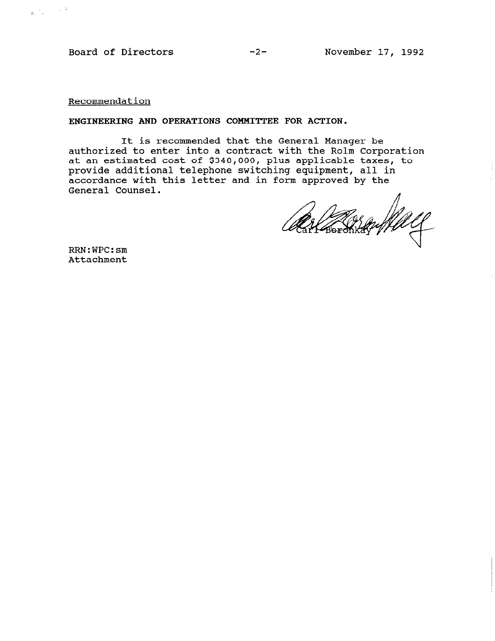Board of Directors -2- November 17, 1992

Recommendation

 $\frac{1}{4\pi}\left(\frac{1}{\pi}\right)^{2}=\frac{1}{2\pi}\left(\frac{1}{\pi}\right)^{2}$ 

#### ENGINEERING AND OPERATIONS COMMITTEE FOR ACTION.

It is recommended that the General Manager be authorized to enter into a contract with the Rolm Corporati at an estimated cost of \$340,000, plus applicable taxes, to provide additional telephone switching equipment, all in accordance with this letter and in form approved by the General Counsel.

n

RRN:WPC:sm Attachment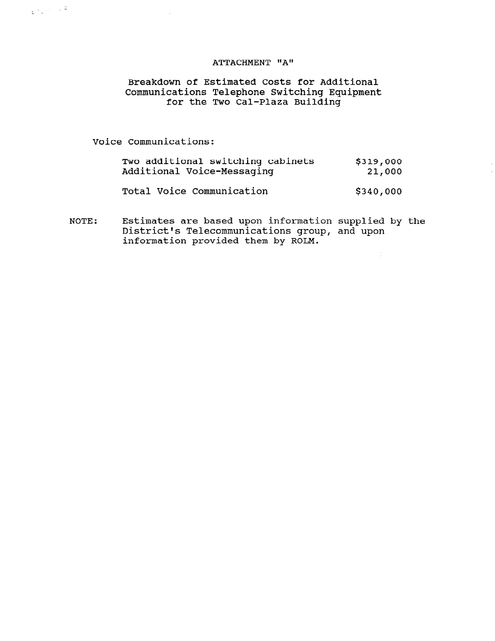## ATTACHMENT "A"

# Breakdown of Estimated Costs for Additional Communications Telephone Switching Equipment for the Two Cal-Plaza Buildi

Voice Communications:

 $\mathcal{A}^{\mathcal{A}}$ 

 $\frac{1}{2}$ ,  $\frac{1}{2}$ ,  $\frac{1}{2}$ ,  $\frac{1}{2}$ 

| Two additional switching cabinets<br>Additional Voice-Messaging | \$319,000<br>21,000 |
|-----------------------------------------------------------------|---------------------|
| Total Voice Communication                                       | \$340,000           |
|                                                                 |                     |

NOTE: Estimates are based upon information supplied by the District's Telecommunications group, and upon information provided them by ROLM.

 $\frac{1}{2}$  .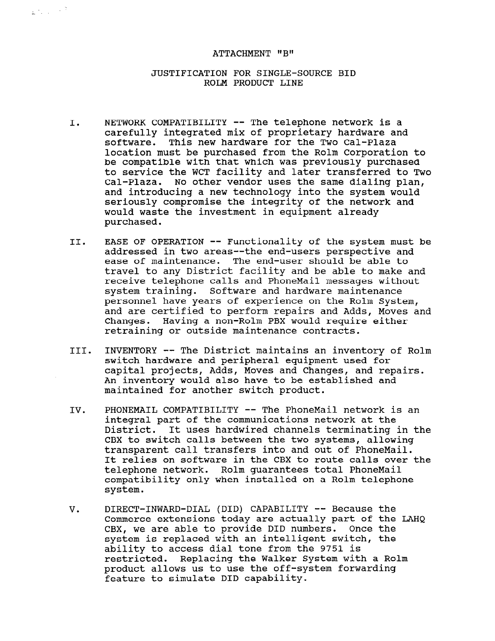## ATTACHMENT "B"

 $\mathbf{g}(\mathbf{r},\mathbf{q})\in\mathbb{R}^{2}$ 

### JUSTIFICATION FOR SINGLE-SOURCE BID ROLM PRODUCT LINE

- I. NETWORK COMPATIBILITY -- The telephone network is a carefully integrated mix of proprietary hardware and software. This new hardware for the Two Cal-Plaza location must be purchased from the Rolm Corporation to be compatible with that which was previously purchased to service the WCT facility and later transferred to Two Cal-Plaza. No other vendor uses the same dialing plan, and introducing a new technology into the system would seriously compromise the integrity of the network and would waste the investment in equipment already purchased.
- II. EASE OF OPERATION -- Functionality of the system must be addressed in two areas--the end-users perspective and ease of maintenance. The end-user should be able to travel to any District facility and be able to make and receive telephone calls and PhoneMail messages without system training. Software and hardware maintenance personnel have years of experience on the Rolm System, and are certified to perform repairs and Adds, Moves and Changes. Having a non-Rolm PBX would require either retraining or outside maintenance contracts.
- III. INVENTORY -- The District maintains an inventory of Rolm switch hardware and peripheral equipment used for capital projects, Adds, Moves and Changes, and repairs. An inventory would also have to be established and maintained for another switch product.
- IV. PHONEMAIL COMPATIBILITY -- The PhoneMail network is an integral part of the communications network at the District. It uses hardwired channels terminating in the CBX to switch calls between the two systems, allowing transparent call transfers into and out of PhoneMail. It relies on software in the CBX to route calls over the telephone network. Rolm guarantees total PhoneMail constant network. Nother guarantees cotal filonematic compat<br>.....
- V. DIRECT-INWARD-DIAL (DID) CAPABILITY -- Because the DIRECT-INWARD-DIAL (DID) CAPADILITY -- DeCause the Commerce extensions today are actually part of the LAHQ CBX, we are able to provide DID numbers. Once the CBA, we are able to provide bib humbers. Once the ability to access dial to a from the 9751 is ability to access dial tone from the 9751 is<br>restricted. Replacing the Walker System with a Rolm producted. Replacing the waiker system with a product allows us to use the of